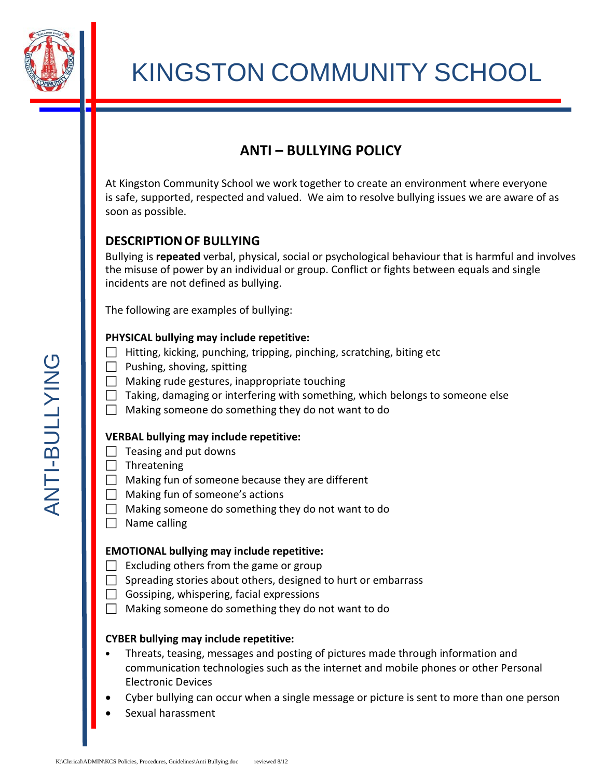

# **ANTI – BULLYING POLICY**

At Kingston Community School we work together to create an environment where everyone is safe, supported, respected and valued. We aim to resolve bullying issues we are aware of as soon as possible.

# **DESCRIPTIONOF BULLYING**

Bullying is **repeated** verbal, physical, social or psychological behaviour that is harmful and involves the misuse of power by an individual or group. Conflict or fights between equals and single incidents are not defined as bullying.

The following are examples of bullying:

## **PHYSICAL bullying may include repetitive:**

- $\Box$  Hitting, kicking, punching, tripping, pinching, scratching, biting etc
- $\Box$  Pushing, shoving, spitting
- $\Box$  Making rude gestures, inappropriate touching
- $\Box$  Taking, damaging or interfering with something, which belongs to someone else
- $\Box$  Making someone do something they do not want to do

#### **VERBAL bullying may include repetitive:**

- $\Box$  Teasing and put downs
- $\Box$  Threatening
- $\Box$  Making fun of someone because they are different
- $\Box$  Making fun of someone's actions
- $\Box$  Making someone do something they do not want to do
- $\Box$  Name calling

## **EMOTIONAL bullying may include repetitive:**

- $\Box$  Excluding others from the game or group
- $\Box$  Spreading stories about others, designed to hurt or embarrass
- $\Box$  Gossiping, whispering, facial expressions
- $\Box$  Making someone do something they do not want to do

## **CYBER bullying may include repetitive:**

- K:Clerical\ADMIN\KCS Policies, Procedures, Guidelines\Anti Bullying.doc reviewed 8/12 Reviewed 8/12 Reviewed ANDINN\KCS Policies, Procedures, Guidelines\Anti Bullying.doc reviewed 8/12 Reviewed ANDINN\KCS Policies, Proce • Threats, teasing, messages and posting of pictures made through information and communication technologies such as the internet and mobile phones or other Personal Electronic Devices
	- Cyber bullying can occur when a single message or picture is sent to more than one person
	- Sexual harassment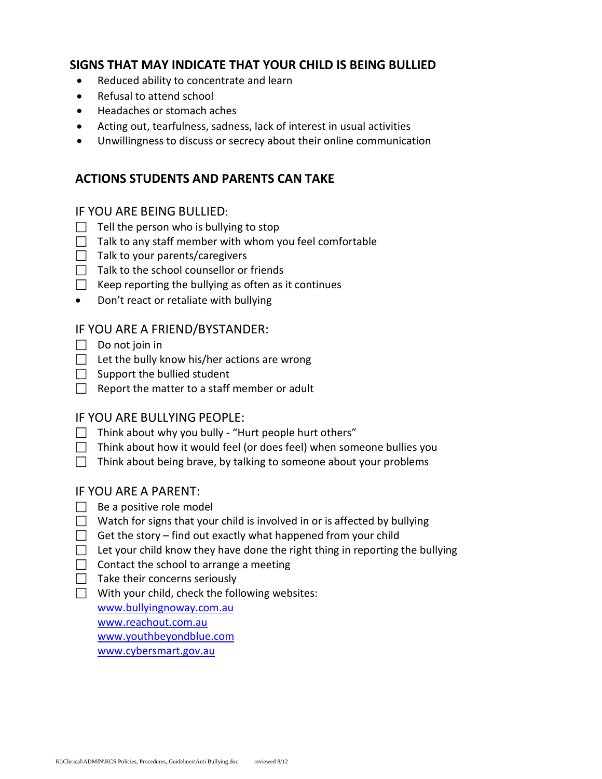## **SIGNS THAT MAY INDICATE THAT YOUR CHILD IS BEING BULLIED**

- Reduced ability to concentrate and learn
- Refusal to attend school
- Headaches or stomach aches
- Acting out, tearfulness, sadness, lack of interest in usual activities
- Unwillingness to discuss or secrecy about their online communication

## **ACTIONS STUDENTS AND PARENTS CAN TAKE**

#### IF YOU ARE BEING BULLIED:

- $\Box$  Tell the person who is bullying to stop
- $\Box$  Talk to any staff member with whom you feel comfortable
- $\Box$  Talk to your parents/caregivers
- $\Box$  Talk to the school counsellor or friends
- $\Box$  Keep reporting the bullying as often as it continues
- Don't react or retaliate with bullying

## IF YOU ARE A FRIEND/BYSTANDER:

- $\Box$  Do not join in
- $\Box$  Let the bully know his/her actions are wrong
- $\Box$  Support the bullied student
- $\Box$  Report the matter to a staff member or adult

## IF YOU ARE BULLYING PEOPLE:

- $\Box$  Think about why you bully "Hurt people hurt others"
- $\Box$  Think about how it would feel (or does feel) when someone bullies you
- $\Box$  Think about being brave, by talking to someone about your problems

#### IF YOU ARE A PARENT:

- $\Box$  Be a positive role model
- $\Box$  Watch for signs that your child is involved in or is affected by bullying
- $\Box$  Get the story find out exactly what happened from your child
- $\Box$  Let your child know they have done the right thing in reporting the bullying
- $\Box$  Contact the school to arrange a meeting
- $\Box$  Take their concerns seriously
- $\Box$  With your child, check the following websites:

[www.bullyingnoway.com.au](http://www.bullyingnoway.com.au/) [www.reachout.com.au](http://www.reachout.com.au/)

www.youthbeyondblue.com

www.cybersmart.gov.au